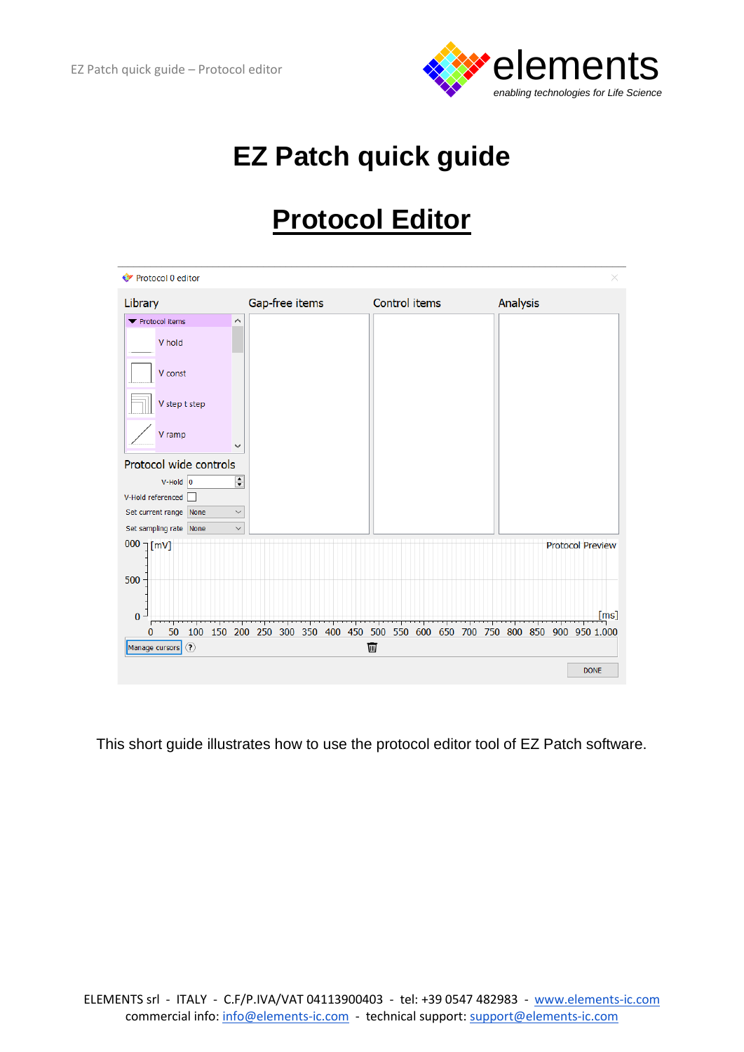

# **EZ Patch quick guide**

# **Protocol Editor**

| ← Protocol 0 editor                                      |                                                                       |               |                         |
|----------------------------------------------------------|-----------------------------------------------------------------------|---------------|-------------------------|
| Library                                                  | Gap-free items                                                        | Control items | Analysis                |
| ▼ Protocol items<br>∧                                    |                                                                       |               |                         |
| V hold                                                   |                                                                       |               |                         |
| V const                                                  |                                                                       |               |                         |
| V step t step                                            |                                                                       |               |                         |
| V ramp<br>$\checkmark$                                   |                                                                       |               |                         |
| Protocol wide controls                                   |                                                                       |               |                         |
| $\div$<br>$V$ -Hold 0                                    |                                                                       |               |                         |
| V-Hold referenced                                        |                                                                       |               |                         |
| Set current range None<br>$\checkmark$                   |                                                                       |               |                         |
| Set sampling rate None<br>$\checkmark$                   |                                                                       |               |                         |
| $000$ $\text{mV}$<br>500                                 |                                                                       |               | <b>Protocol Preview</b> |
| $\overline{0}$                                           |                                                                       |               | [ms]                    |
| $\overline{\phantom{a}}$<br>50<br>100<br>150<br>$\bf{0}$ | 200 250 300 350 400 450 500 550 600 650 700 750 800 850 900 950 1.000 |               |                         |
| $\odot$<br>Manage cursors                                |                                                                       | 画             |                         |
|                                                          |                                                                       |               | <b>DONE</b>             |

This short guide illustrates how to use the protocol editor tool of EZ Patch software.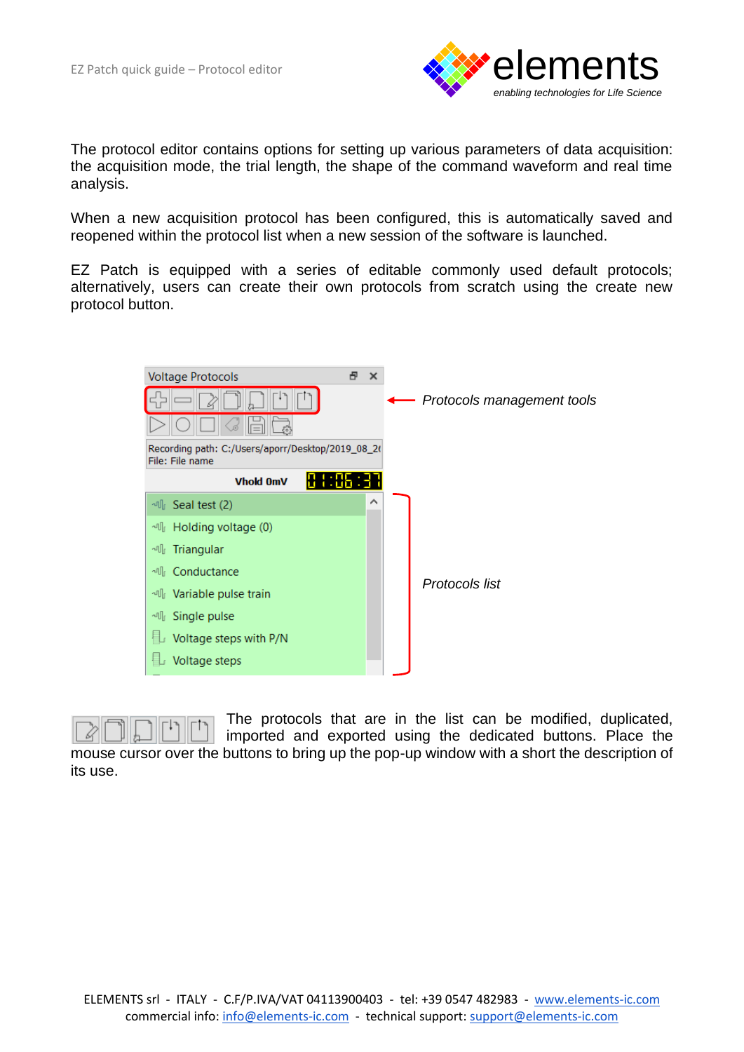

The protocol editor contains options for setting up various parameters of data acquisition: the acquisition mode, the trial length, the shape of the command waveform and real time analysis.

When a new acquisition protocol has been configured, this is automatically saved and reopened within the protocol list when a new session of the software is launched.

EZ Patch is equipped with a series of editable commonly used default protocols; alternatively, users can create their own protocols from scratch using the create new protocol button.





The protocols that are in the list can be modified, duplicated, imported and exported using the dedicated buttons. Place the

mouse cursor over the buttons to bring up the pop-up window with a short the description of its use.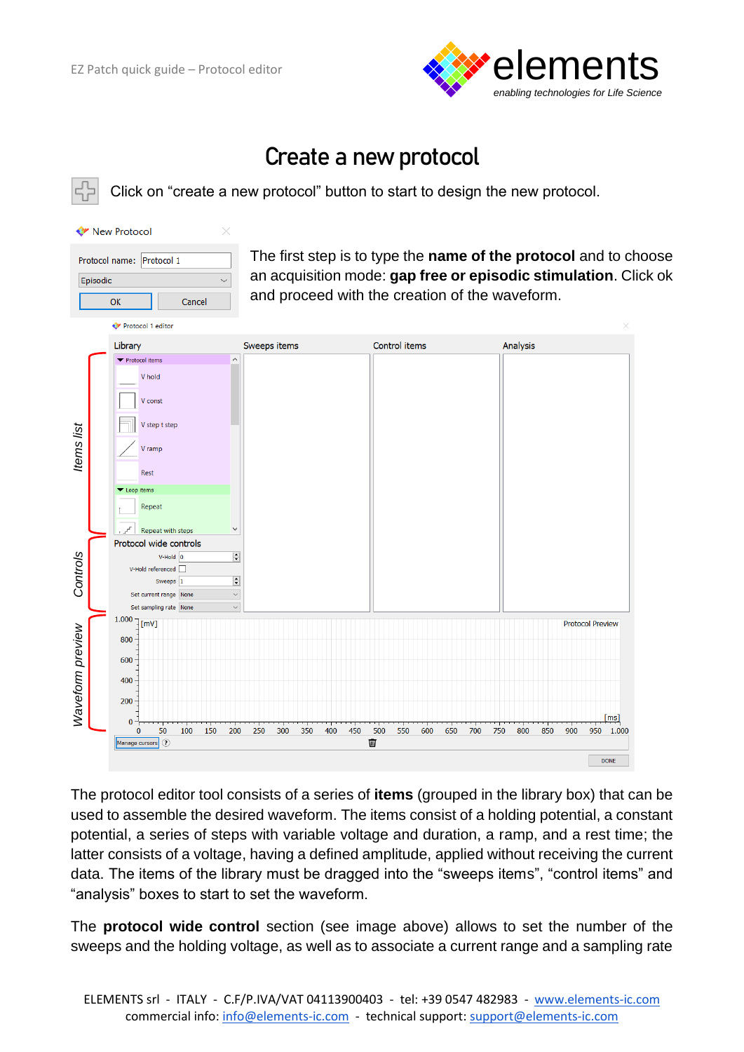

### **Create a new protocol**

Click on "create a new protocol" button to start to design the new protocol.

| <b>C</b> <sup>y</sup> New Protocol |        |  |  |  |  |
|------------------------------------|--------|--|--|--|--|
| Protocol name: Protocol 1          |        |  |  |  |  |
| Episodic                           |        |  |  |  |  |
| OK                                 | Cancel |  |  |  |  |
| <b>◆</b> Protocol 1 editor         |        |  |  |  |  |
| Library                            |        |  |  |  |  |
| ▼ Protocol items                   |        |  |  |  |  |

The first step is to type the **name of the protocol** and to choose an acquisition mode: **gap free or episodic stimulation**. Click ok and proceed with the creation of the waveform.

|                  | Library                                                                                                                                                         | Sweeps items                                   | Control items                               | <b>Analysis</b>                                                                                                                                                                                                                                                                                                                                                                                                                                                                                          |
|------------------|-----------------------------------------------------------------------------------------------------------------------------------------------------------------|------------------------------------------------|---------------------------------------------|----------------------------------------------------------------------------------------------------------------------------------------------------------------------------------------------------------------------------------------------------------------------------------------------------------------------------------------------------------------------------------------------------------------------------------------------------------------------------------------------------------|
| Items list       | ▼ Protocol items<br>V hold<br>V const<br>V step t step<br>V ramp<br>Rest<br>▼ Loop items<br>Repeat<br>$\checkmark$<br>Repeat with steps                         |                                                |                                             |                                                                                                                                                                                                                                                                                                                                                                                                                                                                                                          |
| Controls         | Protocol wide controls<br>$\div$<br>$V$ -Hold $ 0$<br>V-Hold referenced<br>$\div$<br>Sweeps<br>$\checkmark$<br>Set current range None<br>Set sampling rate None |                                                |                                             |                                                                                                                                                                                                                                                                                                                                                                                                                                                                                                          |
| Waveform preview | 1.000<br>$\lceil$ mV $\rceil$<br>800<br>600<br>400<br>200<br>$\bf{0}$<br>50<br>100<br>200<br>$\Omega$<br>150<br>Manage cursors (?)                              | 400<br>250<br>300<br>350<br>450                | 500<br>550<br>600<br>650<br>700<br>750<br>Ŵ | <b>Protocol Preview</b><br>[ms]<br>950<br>800<br>850<br>900<br>1.000<br><b>DONE</b>                                                                                                                                                                                                                                                                                                                                                                                                                      |
|                  |                                                                                                                                                                 | "analysis" boxes to start to set the waveform. |                                             | The protocol editor tool consists of a series of <b>items</b> (grouped in the library box) that can be<br>used to assemble the desired waveform. The items consist of a holding potential, a constant<br>potential, a series of steps with variable voltage and duration, a ramp, and a rest time; the<br>latter consists of a voltage, having a defined amplitude, applied without receiving the current<br>data. The items of the library must be dragged into the "sweeps items", "control items" and |
|                  |                                                                                                                                                                 |                                                |                                             | The <b>protocol wide control</b> section (see image above) allows to set the number of the<br>sweeps and the holding voltage, as well as to associate a current range and a sampling rate                                                                                                                                                                                                                                                                                                                |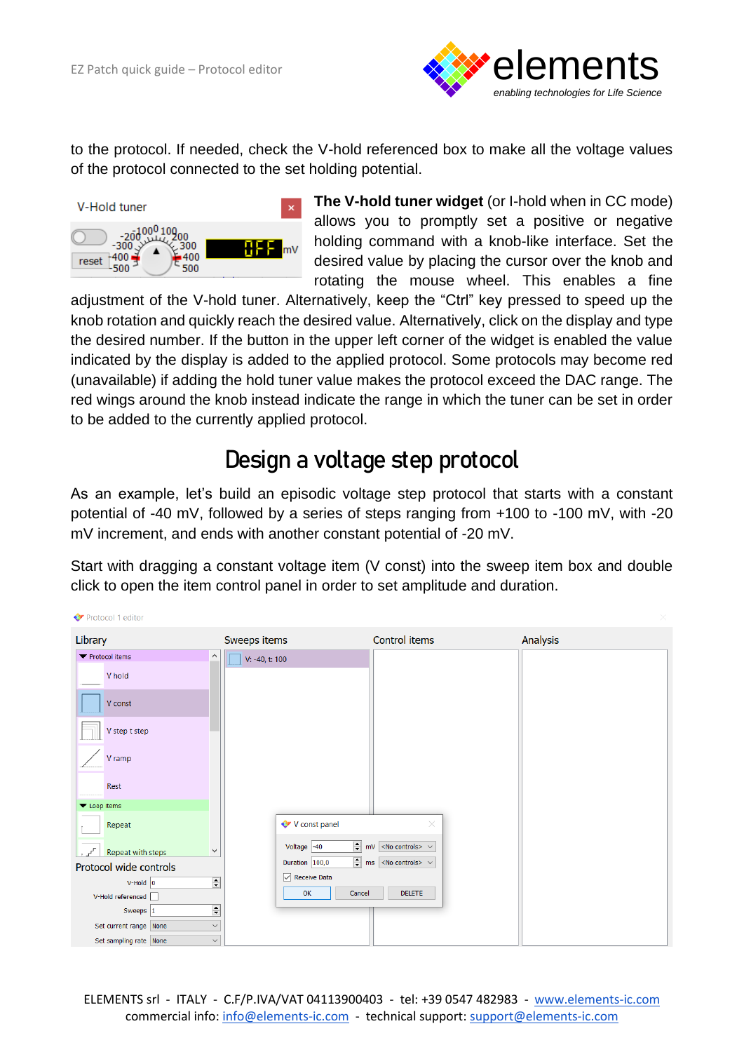

to the protocol. If needed, check the V-hold referenced box to make all the voltage values of the protocol connected to the set holding potential.



**The V-hold tuner widget** (or I-hold when in CC mode) allows you to promptly set a positive or negative holding command with a knob-like interface. Set the desired value by placing the cursor over the knob and rotating the mouse wheel. This enables a fine

adjustment of the V-hold tuner. Alternatively, keep the "Ctrl" key pressed to speed up the knob rotation and quickly reach the desired value. Alternatively, click on the display and type the desired number. If the button in the upper left corner of the widget is enabled the value indicated by the display is added to the applied protocol. Some protocols may become red (unavailable) if adding the hold tuner value makes the protocol exceed the DAC range. The red wings around the knob instead indicate the range in which the tuner can be set in order to be added to the currently applied protocol.

#### **Design a voltage step protocol**

As an example, let's build an episodic voltage step protocol that starts with a constant potential of -40 mV, followed by a series of steps ranging from +100 to -100 mV, with -20 mV increment, and ends with another constant potential of -20 mV.

Start with dragging a constant voltage item (V const) into the sweep item box and double click to open the item control panel in order to set amplitude and duration.

| Protocol 1 editor                 |                                                        |                                                           |          |
|-----------------------------------|--------------------------------------------------------|-----------------------------------------------------------|----------|
| Library                           | Sweeps items                                           | Control items                                             | Analysis |
| ▼ Protocol items                  | V: -40, t: 100                                         |                                                           |          |
| V hold                            |                                                        |                                                           |          |
| V const                           |                                                        |                                                           |          |
| V step t step                     |                                                        |                                                           |          |
| V ramp                            |                                                        |                                                           |          |
| Rest                              |                                                        |                                                           |          |
| ▼ Loop items                      |                                                        |                                                           |          |
| Repeat                            | V const panel                                          | $\times$                                                  |          |
| Repeat with steps<br>$\checkmark$ | Voltage $-40$                                          | $\boxed{\div}$ mV <no controls=""> <math>\lor</math></no> |          |
| Protocol wide controls            | Duration 100,0                                         | $\boxed{\div}$ ms <no controls=""> <math>\vee</math></no> |          |
| $V$ -Hold $ 0 $                   | $\sqrt{\phantom{a}}$ Receive Data<br>$\overline{\div}$ |                                                           |          |
| V-Hold referenced                 | Cancel<br>OK                                           | <b>DELETE</b>                                             |          |
| Sweeps 1                          | $\div$                                                 |                                                           |          |
| Set current range None            | $\checkmark$                                           |                                                           |          |
| Set sampling rate None            | $\vee$                                                 |                                                           |          |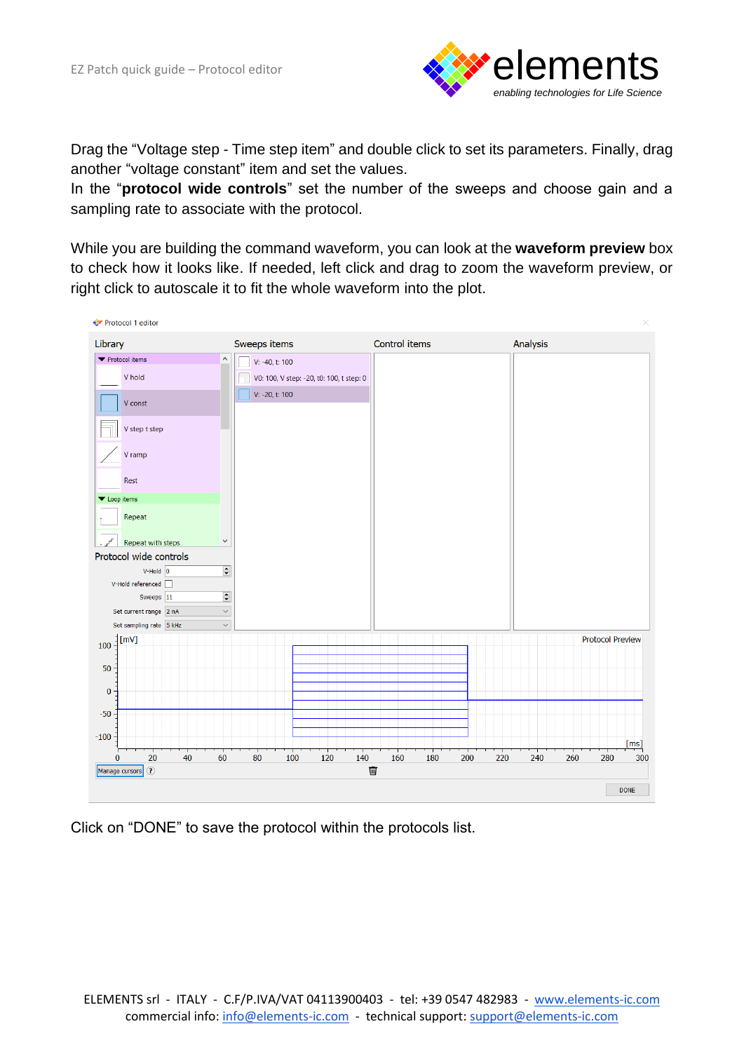

Drag the "Voltage step - Time step item" and double click to set its parameters. Finally, drag another "voltage constant" item and set the values.

In the "**protocol wide controls**" set the number of the sweeps and choose gain and a sampling rate to associate with the protocol.

While you are building the command waveform, you can look at the **waveform preview** box to check how it looks like. If needed, left click and drag to zoom the waveform preview, or right click to autoscale it to fit the whole waveform into the plot.



Click on "DONE" to save the protocol within the protocols list.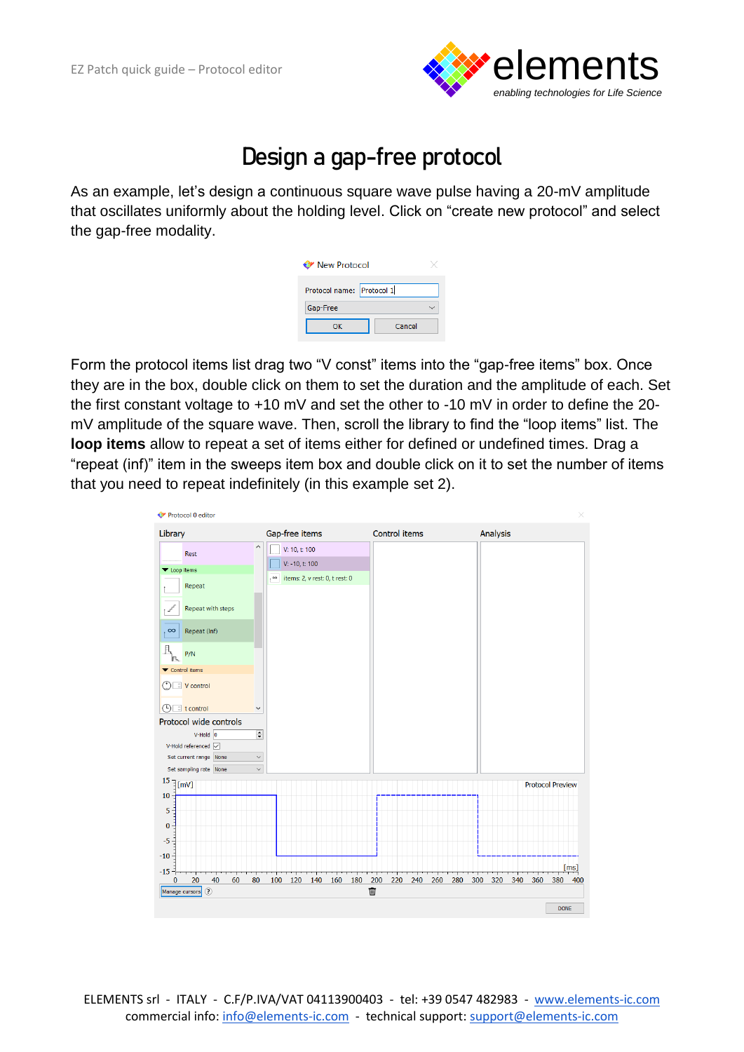

### **Design a gap-free protocol**

As an example, let's design a continuous square wave pulse having a 20-mV amplitude that oscillates uniformly about the holding level. Click on "create new protocol" and select the gap-free modality.

| <b>◆ New Protocol</b>     |  |  |  |  |  |  |
|---------------------------|--|--|--|--|--|--|
| Protocol name: Protocol 1 |  |  |  |  |  |  |
| Gap-Free                  |  |  |  |  |  |  |
| Cancel<br>ок              |  |  |  |  |  |  |
|                           |  |  |  |  |  |  |

Form the protocol items list drag two "V const" items into the "gap-free items" box. Once they are in the box, double click on them to set the duration and the amplitude of each. Set the first constant voltage to +10 mV and set the other to -10 mV in order to define the 20 mV amplitude of the square wave. Then, scroll the library to find the "loop items" list. The **loop items** allow to repeat a set of items either for defined or undefined times. Drag a "repeat (inf)" item in the sweeps item box and double click on it to set the number of items that you need to repeat indefinitely (in this example set 2).

| Library                            |                         | Gap-free items                   |                  |     |              |     | Control items |     |     |     |     | Analysis |     |                         |     |      |
|------------------------------------|-------------------------|----------------------------------|------------------|-----|--------------|-----|---------------|-----|-----|-----|-----|----------|-----|-------------------------|-----|------|
| Rest                               | $\widehat{\phantom{a}}$ | V: 10, t: 100                    |                  |     |              |     |               |     |     |     |     |          |     |                         |     |      |
| ▼ Loop items                       |                         |                                  | $V: -10, t: 100$ |     |              |     |               |     |     |     |     |          |     |                         |     |      |
| Repeat                             |                         | ∞ items: 2, v rest: 0, t rest: 0 |                  |     |              |     |               |     |     |     |     |          |     |                         |     |      |
|                                    |                         |                                  |                  |     |              |     |               |     |     |     |     |          |     |                         |     |      |
| Repeat with steps<br>$J^{\rm f}$   |                         |                                  |                  |     |              |     |               |     |     |     |     |          |     |                         |     |      |
| Repeat (Inf)<br>$\infty$           |                         |                                  |                  |     |              |     |               |     |     |     |     |          |     |                         |     |      |
| J.<br>P/N                          |                         |                                  |                  |     |              |     |               |     |     |     |     |          |     |                         |     |      |
| ▼ Control items                    |                         |                                  |                  |     |              |     |               |     |     |     |     |          |     |                         |     |      |
| <b>①■V</b> control                 |                         |                                  |                  |     |              |     |               |     |     |     |     |          |     |                         |     |      |
| $\Rightarrow$ t control<br>$\circ$ | $\checkmark$            |                                  |                  |     |              |     |               |     |     |     |     |          |     |                         |     |      |
| Protocol wide controls             |                         |                                  |                  |     |              |     |               |     |     |     |     |          |     |                         |     |      |
| $V$ -Hold $0$                      | $\div$                  |                                  |                  |     |              |     |               |     |     |     |     |          |     |                         |     |      |
| V-Hold referenced √                |                         |                                  |                  |     |              |     |               |     |     |     |     |          |     |                         |     |      |
| Set current range None             | $\checkmark$            |                                  |                  |     |              |     |               |     |     |     |     |          |     |                         |     |      |
| Set sampling rate None             | $\checkmark$            |                                  |                  |     |              |     |               |     |     |     |     |          |     |                         |     |      |
| $15$ $\frac{1}{2}$ [mV]<br>$10 -$  |                         |                                  |                  |     |              |     |               |     |     |     |     |          |     | <b>Protocol Preview</b> |     |      |
| 5                                  |                         |                                  |                  |     |              |     |               |     |     |     |     |          |     |                         |     |      |
| $\bf{0}$                           |                         |                                  |                  |     |              |     |               |     |     |     |     |          |     |                         |     |      |
| $-5$                               |                         |                                  |                  |     |              |     |               |     |     |     |     |          |     |                         |     |      |
| $-10 -$                            |                         |                                  |                  |     |              |     |               |     |     |     |     |          |     |                         |     |      |
| $-15 -$                            |                         |                                  |                  |     | <del>.</del> | गा  | ┯             |     |     |     |     |          |     |                         |     | [ms] |
| 20<br>40<br>60<br>0                | 80                      | 100<br>120                       | 140              | 160 | 180          | 200 | 220           | 240 | 260 | 280 | 300 | 320      | 340 | 360                     | 380 | 400  |
|                                    |                         |                                  |                  |     |              | 画   |               |     |     |     |     |          |     |                         |     |      |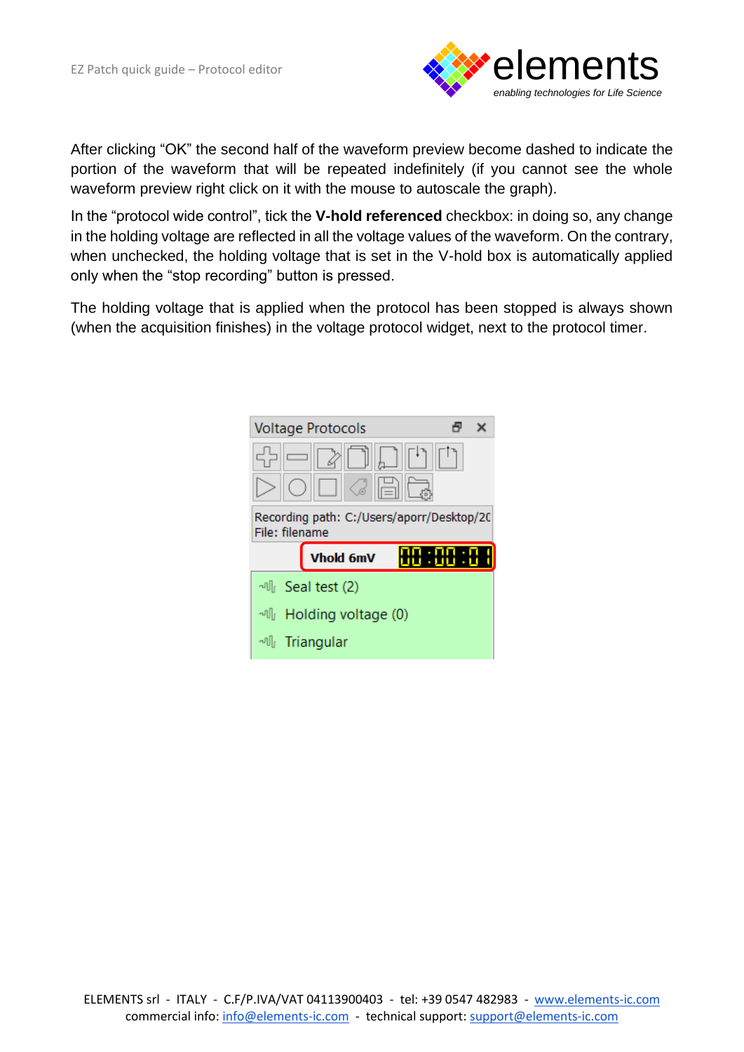

After clicking "OK" the second half of the waveform preview become dashed to indicate the portion of the waveform that will be repeated indefinitely (if you cannot see the whole waveform preview right click on it with the mouse to autoscale the graph).

In the "protocol wide control", tick the **V-hold referenced** checkbox: in doing so, any change in the holding voltage are reflected in all the voltage values of the waveform. On the contrary, when unchecked, the holding voltage that is set in the V-hold box is automatically applied only when the "stop recording" button is pressed.

The holding voltage that is applied when the protocol has been stopped is always shown (when the acquisition finishes) in the voltage protocol widget, next to the protocol timer.

|                                                             | <b>Voltage Protocols</b>  |  |  |  |  |  |  |
|-------------------------------------------------------------|---------------------------|--|--|--|--|--|--|
|                                                             |                           |  |  |  |  |  |  |
| Recording path: C:/Users/aporr/Desktop/20<br>File: filename |                           |  |  |  |  |  |  |
|                                                             |                           |  |  |  |  |  |  |
|                                                             | Vhold 6mV                 |  |  |  |  |  |  |
|                                                             | <sup></sup> Seal test (2) |  |  |  |  |  |  |
|                                                             | 에 Holding voltage (0)     |  |  |  |  |  |  |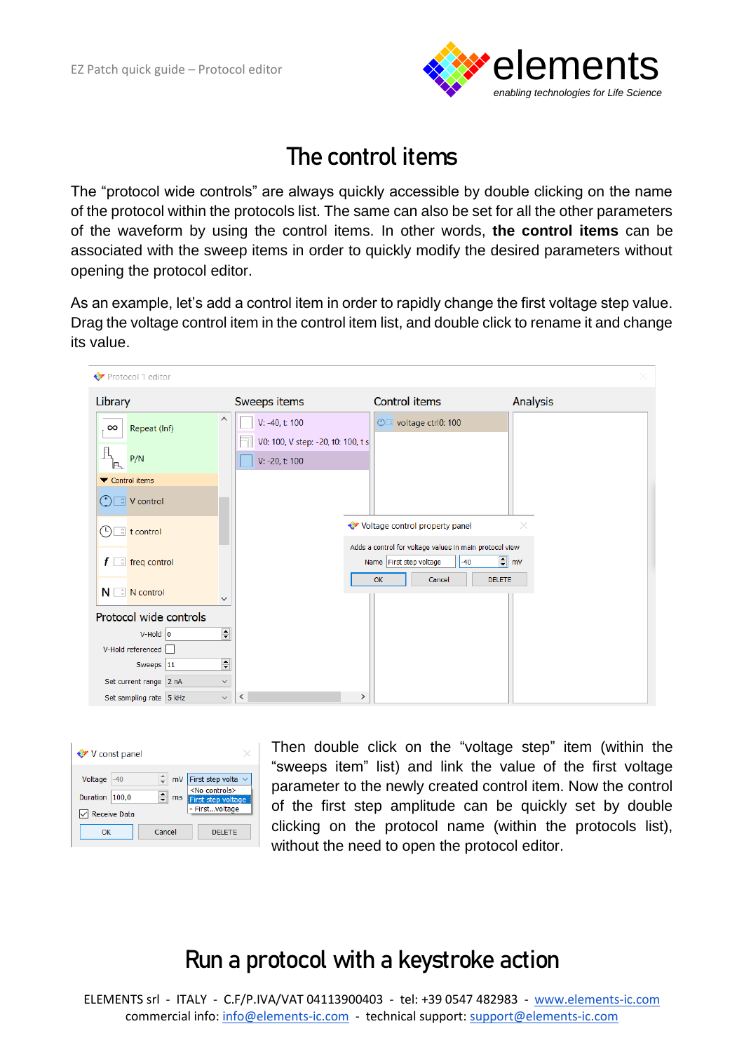

### **The control items**

The "protocol wide controls" are always quickly accessible by double clicking on the name of the protocol within the protocols list. The same can also be set for all the other parameters of the waveform by using the control items. In other words, **the control items** can be associated with the sweep items in order to quickly modify the desired parameters without opening the protocol editor.

As an example, let's add a control item in order to rapidly change the first voltage step value. Drag the voltage control item in the control item list, and double click to rename it and change its value.

| Protocol 1 editor                                              |                                                      |                                                                                             |                  |
|----------------------------------------------------------------|------------------------------------------------------|---------------------------------------------------------------------------------------------|------------------|
| Library                                                        | Sweeps items                                         | Control items                                                                               | Analysis         |
| ∧<br>Repeat (Inf)<br>$\infty$                                  | V: -40, t: 100<br>V0: 100, V step: -20, t0: 100, t s | ©□ voltage ctrl0: 100                                                                       |                  |
| P/N                                                            | V: -20, t: 100                                       |                                                                                             |                  |
| ▼ Control items                                                |                                                      |                                                                                             |                  |
| V control<br>$^{(+)}$                                          |                                                      |                                                                                             |                  |
| $\hat{z}$ t control<br>$\left( 5\right)$                       |                                                      | Voltage control property panel                                                              | ×                |
| $f \right $ freq control                                       |                                                      | Adds a control for voltage values in main protocol view<br>Name First step voltage<br>$-40$ | $\Rightarrow$ mV |
| $N \in \mathbb{R}$ N control<br>v                              |                                                      | OK<br><b>DELETE</b><br>Cancel                                                               |                  |
| Protocol wide controls                                         |                                                      |                                                                                             |                  |
| $\stackrel{\blacktriangle}{\blacktriangledown}$<br>$V$ -Hold 0 |                                                      |                                                                                             |                  |
| V-Hold referenced                                              |                                                      |                                                                                             |                  |
| $\div$<br>Sweeps 11                                            |                                                      |                                                                                             |                  |
| Set current range 2 nA<br>$\checkmark$                         |                                                      |                                                                                             |                  |
| Set sampling rate 5 kHz<br>$\checkmark$                        | ≺<br>$\rightarrow$                                   |                                                                                             |                  |

| V const panel              |                                       |          |                                                                                   |
|----------------------------|---------------------------------------|----------|-----------------------------------------------------------------------------------|
| Voltage<br><b>Duration</b> | $-40$<br>100.0<br><b>Receive Data</b> | mV<br>ms | First step volta v<br>$<$ No controls $>$<br>First step voltage<br>- Firstvoltage |
| ок                         |                                       | Cancel   | <b>DELETE</b>                                                                     |

Then double click on the "voltage step" item (within the "sweeps item" list) and link the value of the first voltage parameter to the newly created control item. Now the control of the first step amplitude can be quickly set by double clicking on the protocol name (within the protocols list), without the need to open the protocol editor.

## **Run a protocol with a keystroke action**